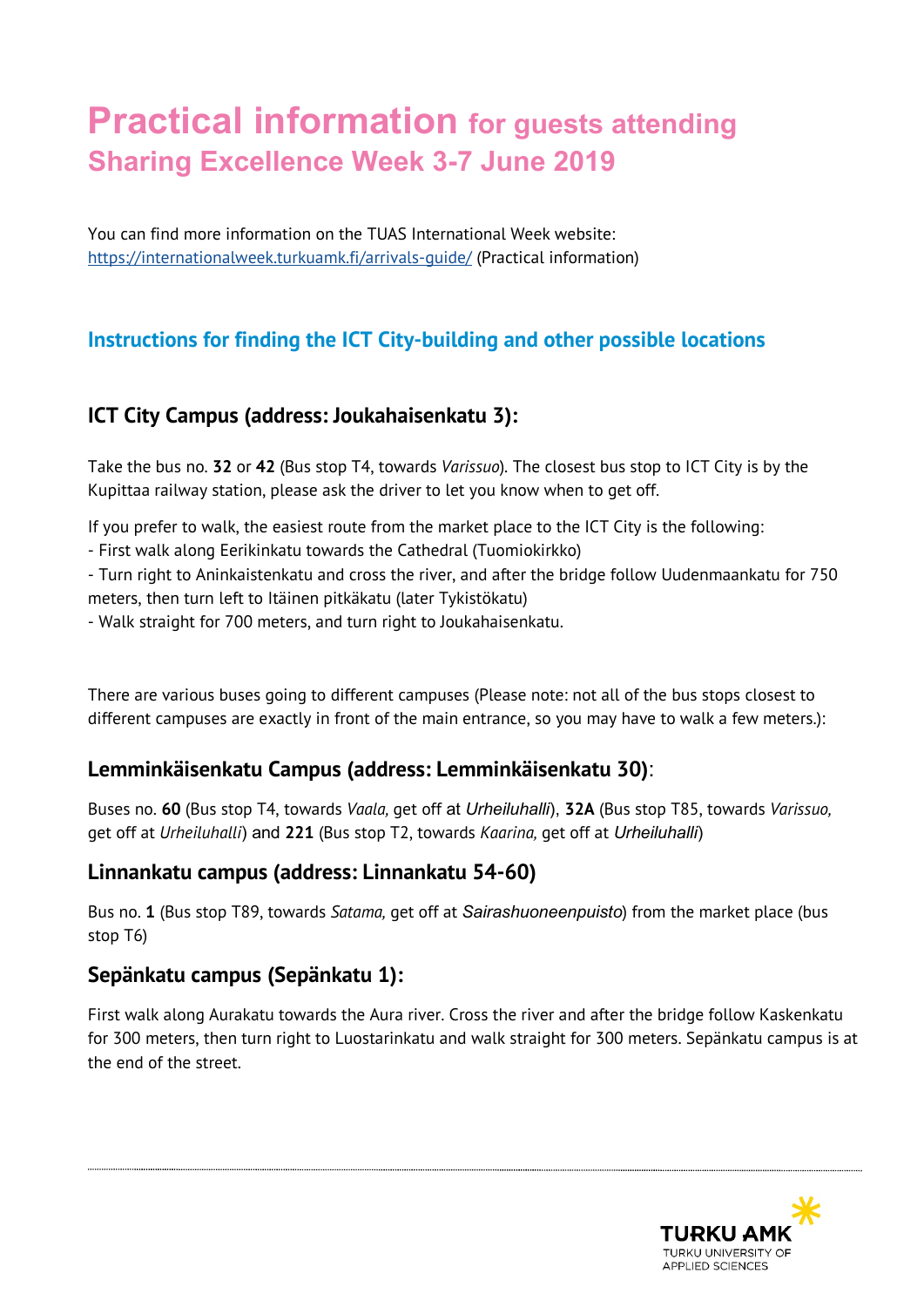# **Practical information for guests attending Sharing Excellence Week 3-7 June 2019**

You can find more information on the TUAS International Week website: <https://internationalweek.turkuamk.fi/arrivals-guide/> (Practical information)

# **Instructions for finding the ICT City-building and other possible locations**

### **ICT City Campus (address: Joukahaisenkatu 3):**

Take the bus no. **32** or **42** (Bus stop T4, towards *Varissuo*). The closest bus stop to ICT City is by the Kupittaa railway station, please ask the driver to let you know when to get off.

If you prefer to walk, the easiest route from the market place to the ICT City is the following:

- First walk along Eerikinkatu towards the Cathedral (Tuomiokirkko)

- Turn right to Aninkaistenkatu and cross the river, and after the bridge follow Uudenmaankatu for 750 meters, then turn left to Itäinen pitkäkatu (later Tykistökatu)

- Walk straight for 700 meters, and turn right to Joukahaisenkatu.

There are various buses going to different campuses (Please note: not all of the bus stops closest to different campuses are exactly in front of the main entrance, so you may have to walk a few meters.):

### **Lemminkäisenkatu Campus (address: Lemminkäisenkatu 30)**:

Buses no. **60** (Bus stop T4, towards *Vaala,* get off at *Urheiluhalli*), **32A** (Bus stop T85, towards *Varissuo,*  get off at *Urheiluhalli*) and **221** (Bus stop T2, towards *Kaarina,* get off at *Urheiluhalli*)

### **Linnankatu campus (address: Linnankatu 54-60)**

Bus no. **1** (Bus stop T89, towards *Satama,* get off at *Sairashuoneenpuisto*) from the market place (bus stop T6)

### **Sepänkatu campus (Sepänkatu 1):**

First walk along Aurakatu towards the Aura river. Cross the river and after the bridge follow Kaskenkatu for 300 meters, then turn right to Luostarinkatu and walk straight for 300 meters. Sepänkatu campus is at the end of the street.

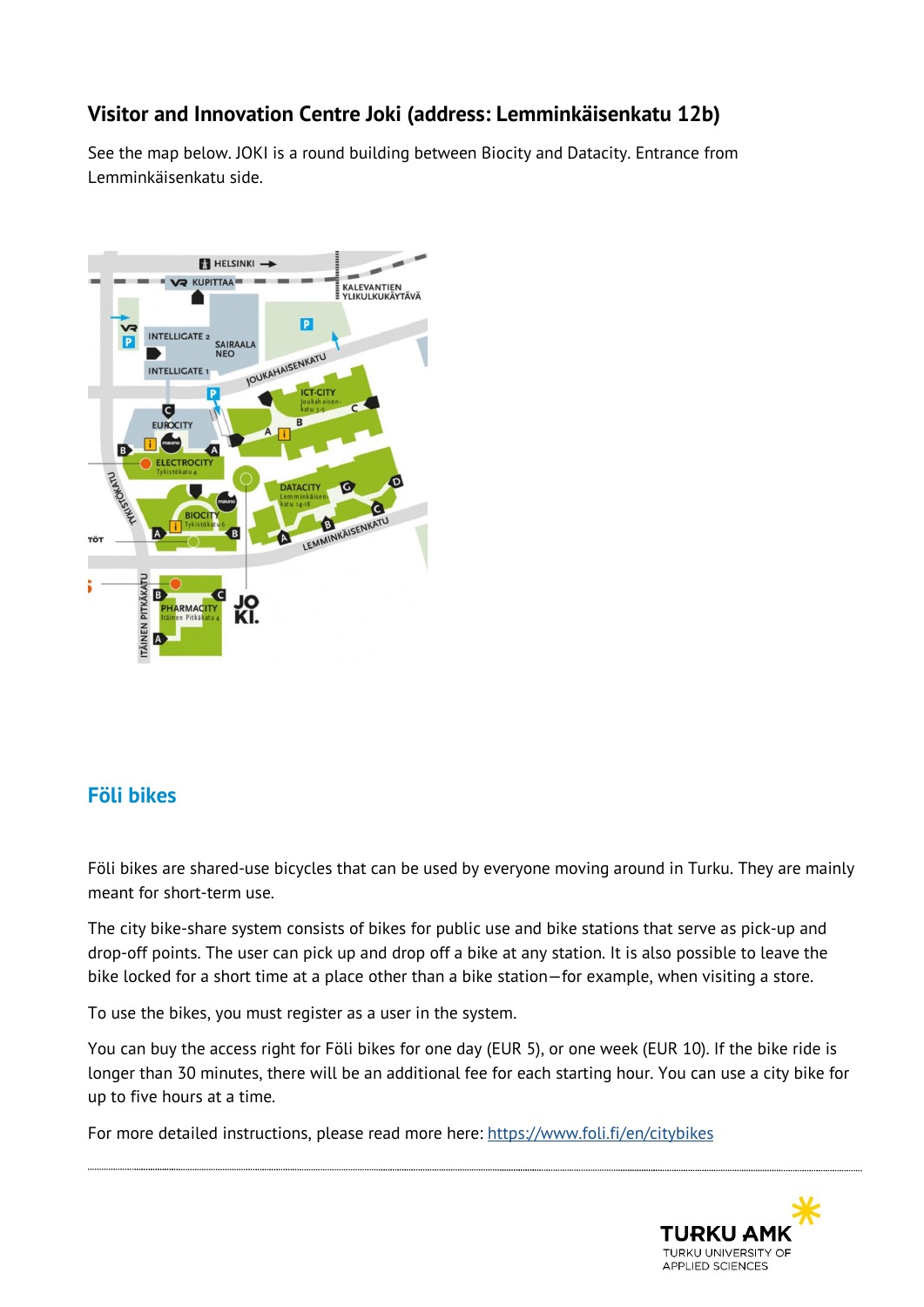## **Visitor and Innovation Centre Joki (address: Lemminkäisenkatu 12b)**

See the map below. JOKI is a round building between Biocity and Datacity. Entrance from Lemminkäisenkatu side.



### **Föli bikes**

Föli bikes are shared-use bicycles that can be used by everyone moving around in Turku. They are mainly meant for short-term use.

The city bike-share system consists of bikes for public use and bike stations that serve as pick-up and drop-off points. The user can pick up and drop off a bike at any station. It is also possible to leave the bike locked for a short time at a place other than a bike station—for example, when visiting a store.

To use the bikes, you must register as a user in the system.

You can buy the access right for Föli bikes for one day (EUR 5), or one week (EUR 10). If the bike ride is longer than 30 minutes, there will be an additional fee for each starting hour. You can use a city bike for up to five hours at a time.

For more detailed instructions, please read more here:<https://www.foli.fi/en/citybikes>

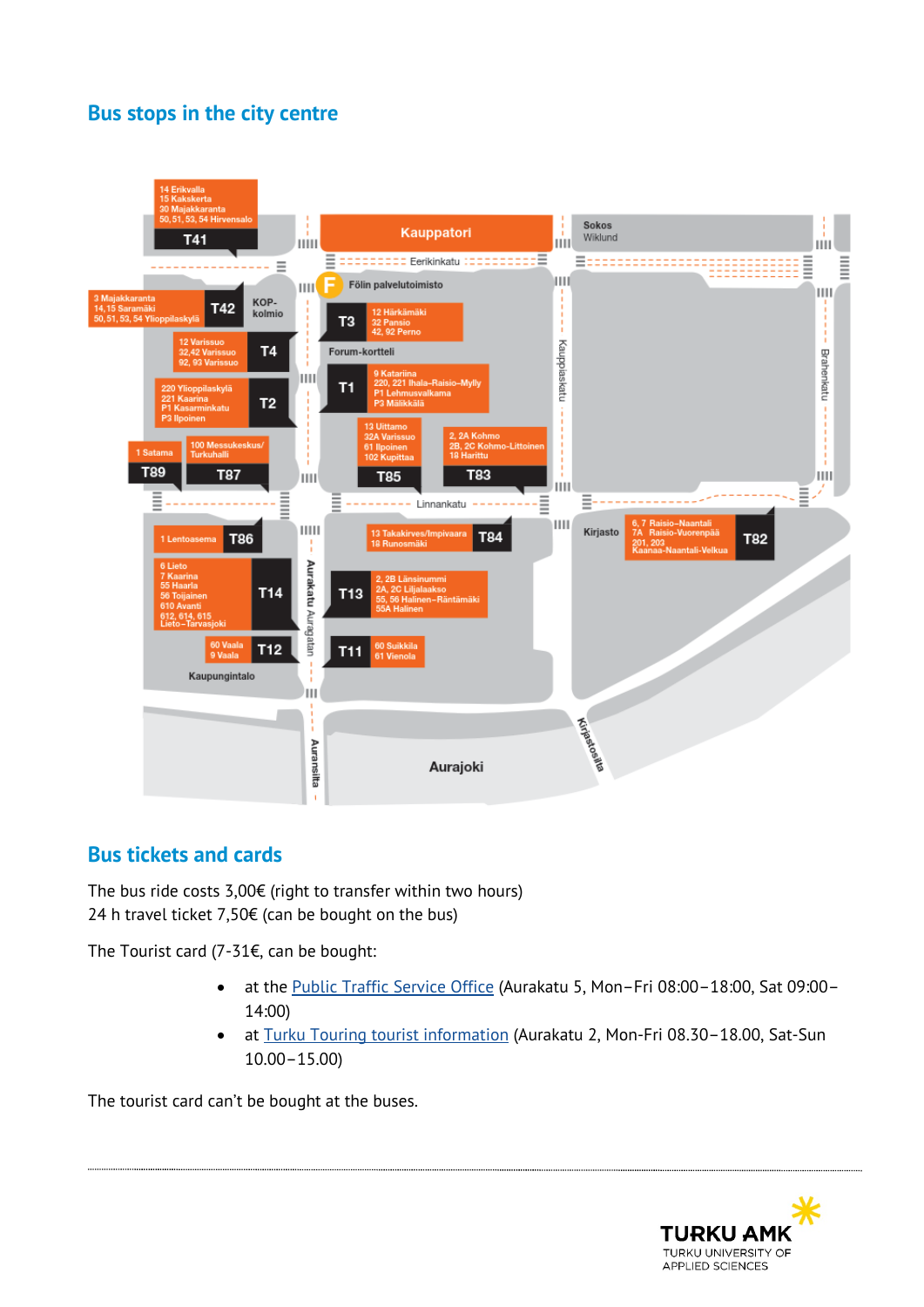## **Bus stops in the city centre**



# **Bus tickets and cards**

The bus ride costs  $3,00 \in \{$  right to transfer within two hours) 24 h travel ticket 7,50€ (can be bought on the bus)

The Tourist card (7-31€, can be bought:

- at the [Public Traffic Service Office](http://www.turku.fi/public/?contentid=78150&nodeid=3690) (Aurakatu 5, Mon–Fri 08:00–18:00, Sat 09:00– 14:00)
- at [Turku Touring tourist information](http://www.visitturku.fi/en/s/tourist-information_) (Aurakatu 2, Mon-Fri 08.30–18.00, Sat-Sun 10.00–15.00)

The tourist card can't be bought at the buses.

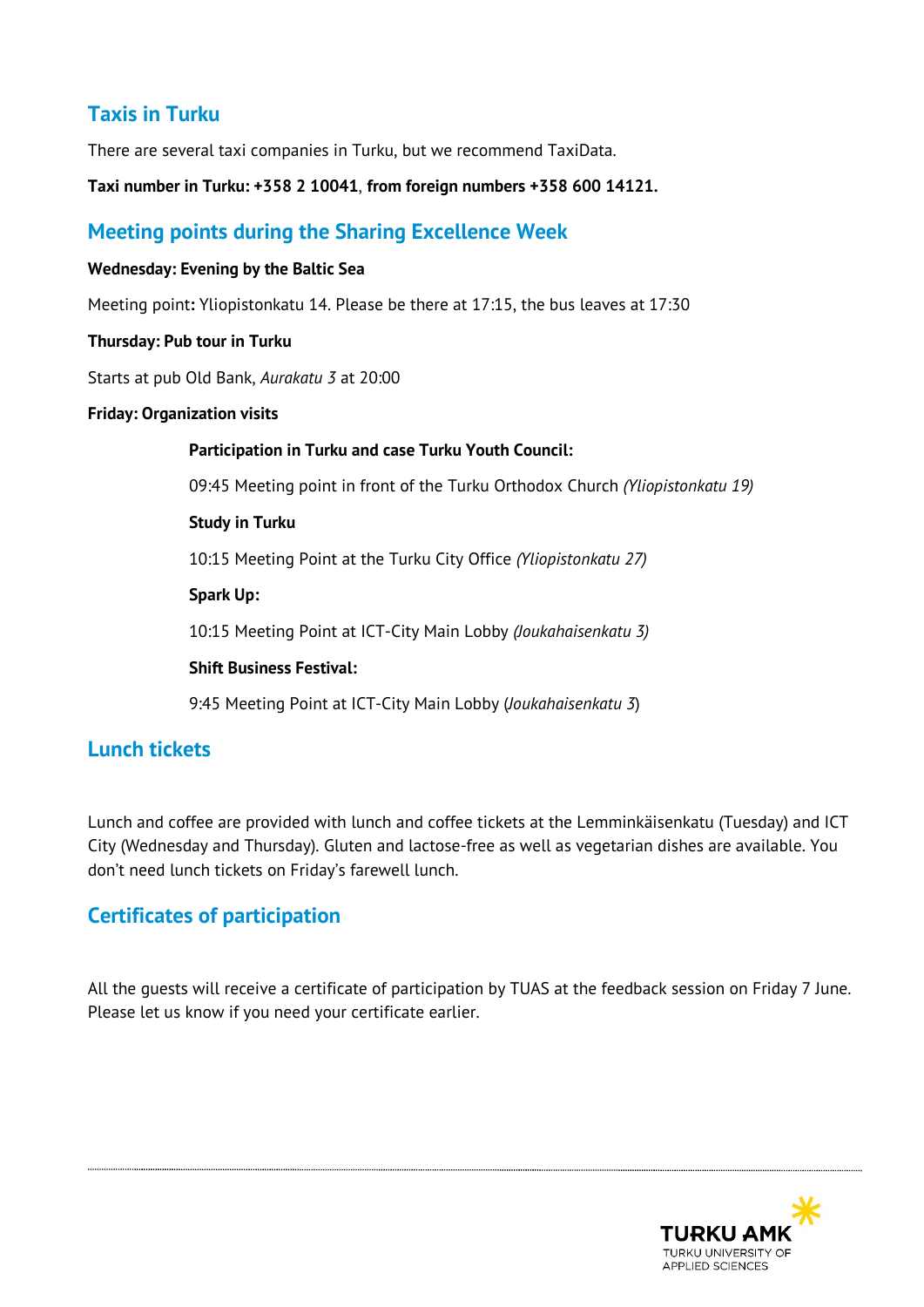## **Taxis in Turku**

There are several taxi companies in Turku, but we recommend TaxiData.

**Taxi number in Turku: +358 2 10041**, **from foreign numbers +358 600 14121.**

### **Meeting points during the Sharing Excellence Week**

#### **Wednesday: Evening by the Baltic Sea**

Meeting point**:** Yliopistonkatu 14. Please be there at 17:15, the bus leaves at 17:30

#### **Thursday: Pub tour in Turku**

Starts at pub Old Bank, *Aurakatu 3* at 20:00

#### **Friday: Organization visits**

**Participation in Turku and case Turku Youth Council:** 09:45 Meeting point in front of the Turku Orthodox Church *(Yliopistonkatu 19)* **Study in Turku** 10:15 Meeting Point at the Turku City Office *(Yliopistonkatu 27)* **Spark Up:** 10:15 Meeting Point at ICT-City Main Lobby *(Joukahaisenkatu 3)* **Shift Business Festival:** 9:45 Meeting Point at ICT-City Main Lobby (*Joukahaisenkatu 3*)

### **Lunch tickets**

Lunch and coffee are provided with lunch and coffee tickets at the Lemminkäisenkatu (Tuesday) and ICT City (Wednesday and Thursday). Gluten and lactose-free as well as vegetarian dishes are available. You don't need lunch tickets on Friday's farewell lunch.

### **Certificates of participation**

All the guests will receive a certificate of participation by TUAS at the feedback session on Friday 7 June. Please let us know if you need your certificate earlier.